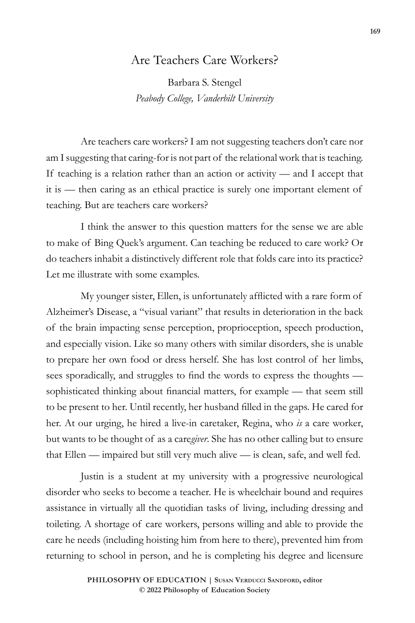## Are Teachers Care Workers?

Barbara S. Stengel *Peabody College, Vanderbilt University*

Are teachers care workers? I am not suggesting teachers don't care nor am I suggesting that caring-for is not part of the relational work that is teaching. If teaching is a relation rather than an action or activity — and I accept that it is — then caring as an ethical practice is surely one important element of teaching. But are teachers care workers?

I think the answer to this question matters for the sense we are able to make of Bing Quek's argument. Can teaching be reduced to care work? Or do teachers inhabit a distinctively different role that folds care into its practice? Let me illustrate with some examples.

My younger sister, Ellen, is unfortunately afflicted with a rare form of Alzheimer's Disease, a "visual variant" that results in deterioration in the back of the brain impacting sense perception, proprioception, speech production, and especially vision. Like so many others with similar disorders, she is unable to prepare her own food or dress herself. She has lost control of her limbs, sees sporadically, and struggles to find the words to express the thoughts sophisticated thinking about financial matters, for example — that seem still to be present to her. Until recently, her husband filled in the gaps. He cared for her. At our urging, he hired a live-in caretaker, Regina, who *is* a care worker, but wants to be thought of as a care*giver*. She has no other calling but to ensure that Ellen — impaired but still very much alive — is clean, safe, and well fed.

Justin is a student at my university with a progressive neurological disorder who seeks to become a teacher. He is wheelchair bound and requires assistance in virtually all the quotidian tasks of living, including dressing and toileting. A shortage of care workers, persons willing and able to provide the care he needs (including hoisting him from here to there), prevented him from returning to school in person, and he is completing his degree and licensure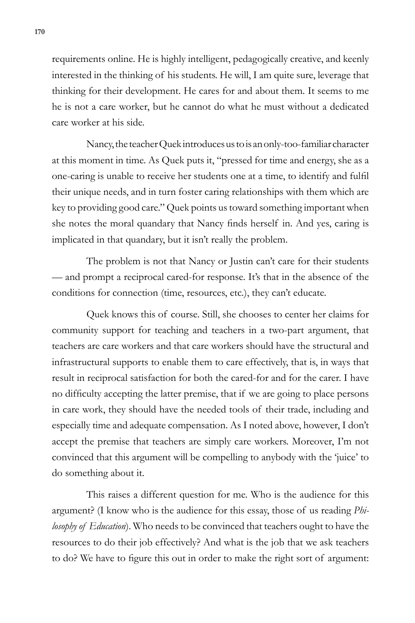requirements online. He is highly intelligent, pedagogically creative, and keenly interested in the thinking of his students. He will, I am quite sure, leverage that thinking for their development. He cares for and about them. It seems to me he is not a care worker, but he cannot do what he must without a dedicated care worker at his side.

Nancy, the teacher Quek introduces us to is an only-too-familiar character at this moment in time. As Quek puts it, "pressed for time and energy, she as a one-caring is unable to receive her students one at a time, to identify and fulfil their unique needs, and in turn foster caring relationships with them which are key to providing good care." Quek points us toward something important when she notes the moral quandary that Nancy finds herself in. And yes, caring is implicated in that quandary, but it isn't really the problem.

The problem is not that Nancy or Justin can't care for their students — and prompt a reciprocal cared-for response. It's that in the absence of the conditions for connection (time, resources, etc.), they can't educate.

Quek knows this of course. Still, she chooses to center her claims for community support for teaching and teachers in a two-part argument, that teachers are care workers and that care workers should have the structural and infrastructural supports to enable them to care effectively, that is, in ways that result in reciprocal satisfaction for both the cared-for and for the carer. I have no difficulty accepting the latter premise, that if we are going to place persons in care work, they should have the needed tools of their trade, including and especially time and adequate compensation. As I noted above, however, I don't accept the premise that teachers are simply care workers. Moreover, I'm not convinced that this argument will be compelling to anybody with the 'juice' to do something about it.

This raises a different question for me. Who is the audience for this argument? (I know who is the audience for this essay, those of us reading *Philosophy of Education*). Who needs to be convinced that teachers ought to have the resources to do their job effectively? And what is the job that we ask teachers to do? We have to figure this out in order to make the right sort of argument: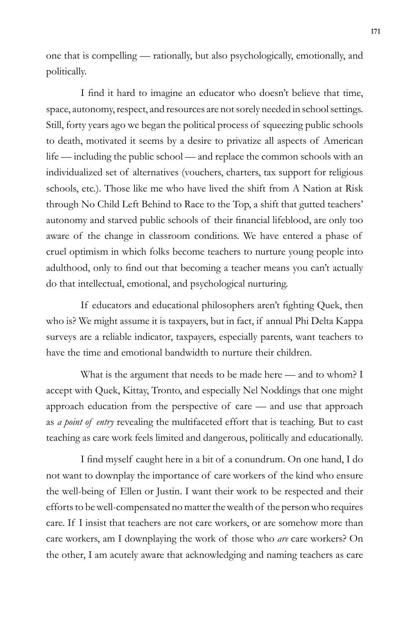one that is compelling — rationally, but also psychologically, emotionally, and politically.

I find it hard to imagine an educator who doesn't believe that time, space, autonomy, respect, and resources are not sorely needed in school settings. Still, forty years ago we began the political process of squeezing public schools to death, motivated it seems by a desire to privatize all aspects of American life — including the public school — and replace the common schools with an individualized set of alternatives (vouchers, charters, tax support for religious schools, etc.). Those like me who have lived the shift from A Nation at Risk through No Child Left Behind to Race to the Top, a shift that gutted teachers' autonomy and starved public schools of their financial lifeblood, are only too aware of the change in classroom conditions. We have entered a phase of cruel optimism in which folks become teachers to nurture young people into adulthood, only to find out that becoming a teacher means you can't actually do that intellectual, emotional, and psychological nurturing.

If educators and educational philosophers aren't fighting Quek, then who is? We might assume it is taxpayers, but in fact, if annual Phi Delta Kappa surveys are a reliable indicator, taxpayers, especially parents, want teachers to have the time and emotional bandwidth to nurture their children.

What is the argument that needs to be made here — and to whom? I accept with Quek, Kittay, Tronto, and especially Nel Noddings that one might approach education from the perspective of care — and use that approach as *a point of entry* revealing the multifaceted effort that is teaching. But to cast teaching as care work feels limited and dangerous, politically and educationally.

I find myself caught here in a bit of a conundrum. On one hand, I do not want to downplay the importance of care workers of the kind who ensure the well-being of Ellen or Justin. I want their work to be respected and their efforts to be well-compensated no matter the wealth of the person who requires care. If I insist that teachers are not care workers, or are somehow more than care workers, am I downplaying the work of those who *are* care workers? On the other, I am acutely aware that acknowledging and naming teachers as care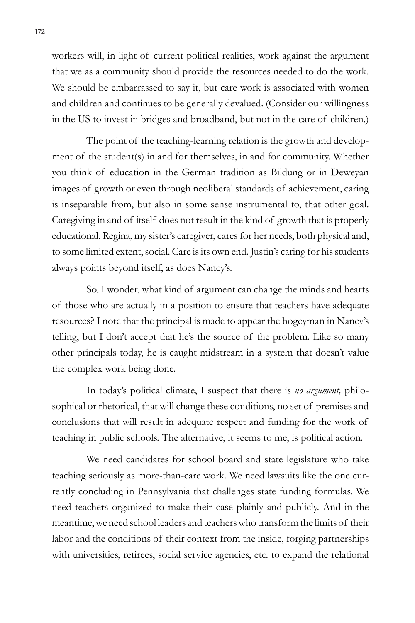workers will, in light of current political realities, work against the argument that we as a community should provide the resources needed to do the work. We should be embarrassed to say it, but care work is associated with women and children and continues to be generally devalued. (Consider our willingness in the US to invest in bridges and broadband, but not in the care of children.)

The point of the teaching-learning relation is the growth and development of the student(s) in and for themselves, in and for community. Whether you think of education in the German tradition as Bildung or in Deweyan images of growth or even through neoliberal standards of achievement, caring is inseparable from, but also in some sense instrumental to, that other goal. Caregiving in and of itself does not result in the kind of growth that is properly educational. Regina, my sister's caregiver, cares for her needs, both physical and, to some limited extent, social. Care is its own end. Justin's caring for his students always points beyond itself, as does Nancy's.

So, I wonder, what kind of argument can change the minds and hearts of those who are actually in a position to ensure that teachers have adequate resources? I note that the principal is made to appear the bogeyman in Nancy's telling, but I don't accept that he's the source of the problem. Like so many other principals today, he is caught midstream in a system that doesn't value the complex work being done.

In today's political climate, I suspect that there is *no argument,* philosophical or rhetorical, that will change these conditions, no set of premises and conclusions that will result in adequate respect and funding for the work of teaching in public schools. The alternative, it seems to me, is political action.

We need candidates for school board and state legislature who take teaching seriously as more-than-care work. We need lawsuits like the one currently concluding in Pennsylvania that challenges state funding formulas. We need teachers organized to make their case plainly and publicly. And in the meantime, we need school leaders and teachers who transform the limits of their labor and the conditions of their context from the inside, forging partnerships with universities, retirees, social service agencies, etc. to expand the relational